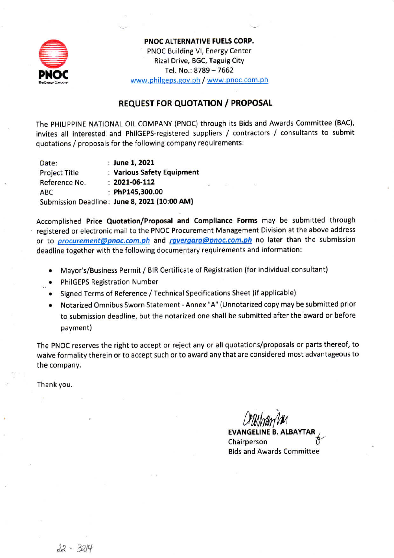

PNOC ALTERNATIVE FUELS CORP. PNOC Building VI, Energy Center Rizal Drive, BGC, Taguig City Tel. No.: 8789 - 7662 www.philgeps.gov.ph / www.pnoc.com.ph

## **REQUEST FOR QUOTATION / PROPOSAL**

The PHILIPPINE NATIONAL OIL COMPANY (PNOC) through its Bids and Awards Committee (BAC), invites all interested and PhilGEPS-registered suppliers / contractors / consultants to submit quotations / proposals for the following company requirements:

: June 1, 2021 Date: **Project Title** : Various Safety Equipment  $: 2021 - 06 - 112$ Reference No. ABC : PhP145,300.00 Submission Deadline: June 8, 2021 (10:00 AM)

Accomplished Price Quotation/Proposal and Compliance Forms may be submitted through registered or electronic mail to the PNOC Procurement Management Division at the above address or to *procurement@pnoc.com.ph* and *rgvergara@pnoc.com.ph* no later than the submission deadline together with the following documentary requirements and information:

- Mayor's/Business Permit / BIR Certificate of Registration (for individual consultant)
- **PhilGEPS Registration Number**
- Signed Terms of Reference / Technical Specifications Sheet (if applicable)
- Notarized Omnibus Sworn Statement Annex "A" (Unnotarized copy may be submitted prior to submission deadline, but the notarized one shall be submitted after the award or before payment)

The PNOC reserves the right to accept or reject any or all quotations/proposals or parts thereof, to waive formality therein or to accept such or to award any that are considered most advantageous to the company.

Thank you.

**EVANGELINE B.** Chairperson **Bids and Awards Committee**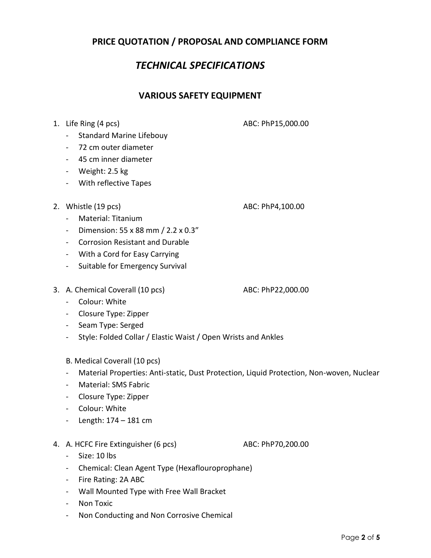## **PRICE QUOTATION / PROPOSAL AND COMPLIANCE FORM**

# *TECHNICAL SPECIFICATIONS*

### **VARIOUS SAFETY EQUIPMENT**

1. Life Ring (4 pcs) ABC: PhP15,000.00

- Standard Marine Lifebouy
- 72 cm outer diameter
- 45 cm inner diameter
- Weight: 2.5 kg
- With reflective Tapes
- 2. Whistle (19 pcs) ABC: PhP4,100.00

- Material: Titanium
- Dimension: 55 x 88 mm / 2.2 x 0.3"
- Corrosion Resistant and Durable
- With a Cord for Easy Carrying
- Suitable for Emergency Survival
- 3. A. Chemical Coverall (10 pcs) ABC: PhP22,000.00

- Colour: White
- Closure Type: Zipper
- Seam Type: Serged
- Style: Folded Collar / Elastic Waist / Open Wrists and Ankles
- B. Medical Coverall (10 pcs)
- Material Properties: Anti-static, Dust Protection, Liquid Protection, Non-woven, Nuclear
- Material: SMS Fabric
- Closure Type: Zipper
- Colour: White
- Length: 174 181 cm
- 4. A. HCFC Fire Extinguisher (6 pcs) ABC: PhP70,200.00

- Size: 10 lbs
- Chemical: Clean Agent Type (Hexaflouroprophane)
- Fire Rating: 2A ABC
- Wall Mounted Type with Free Wall Bracket
- Non Toxic
- Non Conducting and Non Corrosive Chemical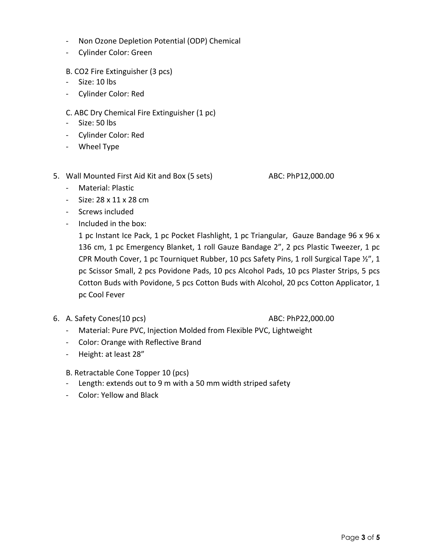- Non Ozone Depletion Potential (ODP) Chemical
- Cylinder Color: Green
- B. CO2 Fire Extinguisher (3 pcs)
- Size: 10 lbs
- Cylinder Color: Red
- C. ABC Dry Chemical Fire Extinguisher (1 pc)
- Size: 50 lbs
- Cylinder Color: Red
- Wheel Type
- 5. Wall Mounted First Aid Kit and Box (5 sets) ABC: PhP12,000.00

- Material: Plastic
- $-$  Size: 28 x 11 x 28 cm
- Screws included
- Included in the box:

1 pc Instant Ice Pack, 1 pc Pocket Flashlight, 1 pc Triangular, Gauze Bandage 96 x 96 x 136 cm, 1 pc Emergency Blanket, 1 roll Gauze Bandage 2", 2 pcs Plastic Tweezer, 1 pc CPR Mouth Cover, 1 pc Tourniquet Rubber, 10 pcs Safety Pins, 1 roll Surgical Tape ½", 1 pc Scissor Small, 2 pcs Povidone Pads, 10 pcs Alcohol Pads, 10 pcs Plaster Strips, 5 pcs Cotton Buds with Povidone, 5 pcs Cotton Buds with Alcohol, 20 pcs Cotton Applicator, 1 pc Cool Fever

6. A. Safety Cones(10 pcs) ABC: PhP22,000.00

- Material: Pure PVC, Injection Molded from Flexible PVC, Lightweight
- Color: Orange with Reflective Brand
- Height: at least 28"

B. Retractable Cone Topper 10 (pcs)

- Length: extends out to 9 m with a 50 mm width striped safety
- Color: Yellow and Black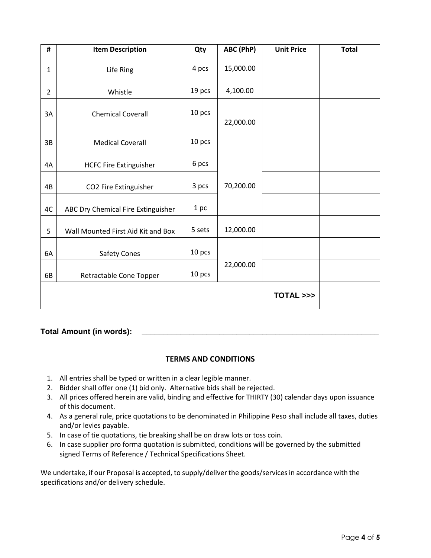| #              | <b>Item Description</b>            | Qty    | ABC (PhP) | <b>Unit Price</b> | <b>Total</b> |
|----------------|------------------------------------|--------|-----------|-------------------|--------------|
| $\mathbf{1}$   | Life Ring                          | 4 pcs  | 15,000.00 |                   |              |
| $\overline{2}$ | Whistle                            | 19 pcs | 4,100.00  |                   |              |
| 3A             | <b>Chemical Coverall</b>           | 10 pcs | 22,000.00 |                   |              |
| 3B             | <b>Medical Coverall</b>            | 10 pcs |           |                   |              |
| 4A             | <b>HCFC Fire Extinguisher</b>      | 6 pcs  |           |                   |              |
| 4B             | CO2 Fire Extinguisher              | 3 pcs  | 70,200.00 |                   |              |
| 4C             | ABC Dry Chemical Fire Extinguisher | 1 pc   |           |                   |              |
| 5              | Wall Mounted First Aid Kit and Box | 5 sets | 12,000.00 |                   |              |
| 6A             | <b>Safety Cones</b>                | 10 pcs |           |                   |              |
| 6B             | Retractable Cone Topper            | 10 pcs | 22,000.00 |                   |              |
|                |                                    |        |           | TOTAL >>>         |              |

### **Total Amount (in words): \_\_\_\_\_\_\_\_\_\_\_\_\_\_\_\_\_\_\_\_\_\_\_\_\_\_\_\_\_\_\_\_\_\_\_\_\_\_\_\_\_\_\_\_\_\_\_\_\_\_\_\_\_\_\_**

### **TERMS AND CONDITIONS**

- 1. All entries shall be typed or written in a clear legible manner.
- 2. Bidder shall offer one (1) bid only. Alternative bids shall be rejected.
- 3. All prices offered herein are valid, binding and effective for THIRTY (30) calendar days upon issuance of this document.
- 4. As a general rule, price quotations to be denominated in Philippine Peso shall include all taxes, duties and/or levies payable.
- 5. In case of tie quotations, tie breaking shall be on draw lots or toss coin.
- 6. In case supplier pro forma quotation is submitted, conditions will be governed by the submitted signed Terms of Reference / Technical Specifications Sheet.

We undertake, if our Proposal is accepted, to supply/deliver the goods/services in accordance with the specifications and/or delivery schedule.